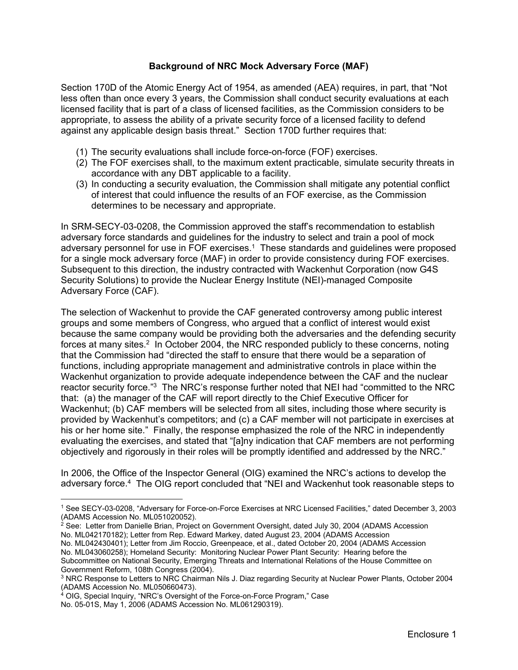## **Background of NRC Mock Adversary Force (MAF)**

Section 170D of the Atomic Energy Act of 1954, as amended (AEA) requires, in part, that "Not less often than once every 3 years, the Commission shall conduct security evaluations at each licensed facility that is part of a class of licensed facilities, as the Commission considers to be appropriate, to assess the ability of a private security force of a licensed facility to defend against any applicable design basis threat." Section 170D further requires that:

- (1) The security evaluations shall include force-on-force (FOF) exercises.
- (2) The FOF exercises shall, to the maximum extent practicable, simulate security threats in accordance with any DBT applicable to a facility.
- (3) In conducting a security evaluation, the Commission shall mitigate any potential conflict of interest that could influence the results of an FOF exercise, as the Commission determines to be necessary and appropriate.

In SRM-SECY-03-0208, the Commission approved the staff's recommendation to establish adversary force standards and guidelines for the industry to select and train a pool of mock adversary personnel for use in FOF exercises.1 These standards and guidelines were proposed for a single mock adversary force (MAF) in order to provide consistency during FOF exercises. Subsequent to this direction, the industry contracted with Wackenhut Corporation (now G4S Security Solutions) to provide the Nuclear Energy Institute (NEI)-managed Composite Adversary Force (CAF).

The selection of Wackenhut to provide the CAF generated controversy among public interest groups and some members of Congress, who argued that a conflict of interest would exist because the same company would be providing both the adversaries and the defending security forces at many sites.<sup>2</sup> In October 2004, the NRC responded publicly to these concerns, noting that the Commission had "directed the staff to ensure that there would be a separation of functions, including appropriate management and administrative controls in place within the Wackenhut organization to provide adequate independence between the CAF and the nuclear reactor security force."<sup>3</sup> The NRC's response further noted that NEI had "committed to the NRC that: (a) the manager of the CAF will report directly to the Chief Executive Officer for Wackenhut; (b) CAF members will be selected from all sites, including those where security is provided by Wackenhut's competitors; and (c) a CAF member will not participate in exercises at his or her home site." Finally, the response emphasized the role of the NRC in independently evaluating the exercises, and stated that "[a]ny indication that CAF members are not performing objectively and rigorously in their roles will be promptly identified and addressed by the NRC."

In 2006, the Office of the Inspector General (OIG) examined the NRC's actions to develop the adversary force.4 The OIG report concluded that "NEI and Wackenhut took reasonable steps to

 $\overline{a}$ 

<sup>1</sup> See SECY-03-0208, "Adversary for Force-on-Force Exercises at NRC Licensed Facilities," dated December 3, 2003 (ADAMS Accession No. ML051020052).

 $2$  See: Letter from Danielle Brian, Project on Government Oversight, dated July 30, 2004 (ADAMS Accession No. ML042170182); Letter from Rep. Edward Markey, dated August 23, 2004 (ADAMS Accession

No. ML042430401); Letter from Jim Roccio, Greenpeace, et al., dated October 20, 2004 (ADAMS Accession No. ML043060258); Homeland Security: Monitoring Nuclear Power Plant Security: Hearing before the Subcommittee on National Security, Emerging Threats and International Relations of the House Committee on Government Reform, 108th Congress (2004).

<sup>3</sup> NRC Response to Letters to NRC Chairman Nils J. Diaz regarding Security at Nuclear Power Plants, October 2004 (ADAMS Accession No. ML050660473).

<sup>&</sup>lt;sup>4</sup> OIG, Special Inquiry, "NRC's Oversight of the Force-on-Force Program," Case No. 05-01S, May 1, 2006 (ADAMS Accession No. ML061290319).